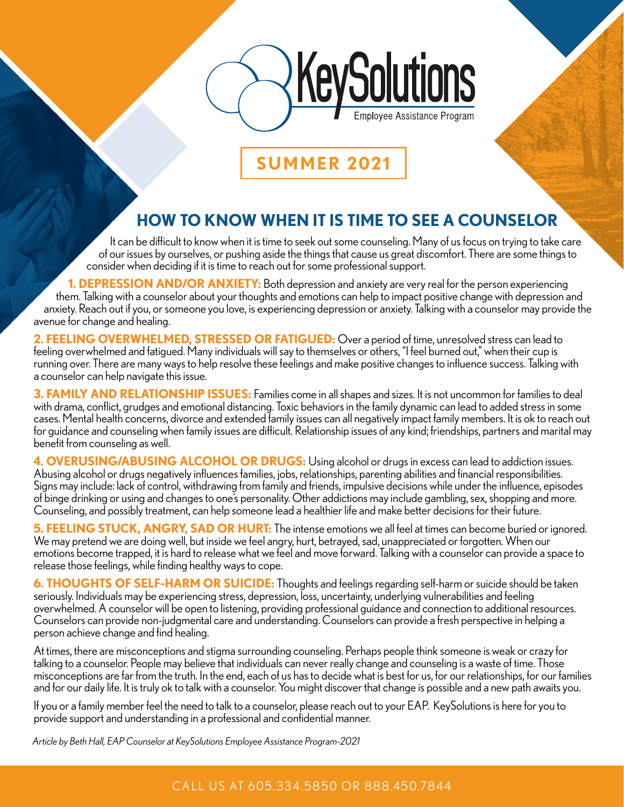

**SUMMER 2021**

## **HOW TO KNOW WHEN IT IS TIME TO SEE A COUNSELOR**

It can be difficult to know when it is time to seek out some counseling. Many of us focus on trying to take care of our issues by ourselves, or pushing aside the things that cause us great discomfort. There are some things to consider when deciding if it is time to reach out for some professional support.

**1. DEPRESSION AND/OR ANXIETY:** Both depression and anxiety are very real for the person experiencing them. Talking with a counselor about your thoughts and emotions can help to impact positive change with depression and anxiety. Reach out if you, or someone you love, is experiencing depression or anxiety. Talking with a counselor may provide the avenue for change and healing.

**2. FEELING OVERWHELMED, STRESSED OR FATIGUED:** Over a period of time, unresolved stress can lead to feeling overwhelmed and fatigued. Many individuals will say to themselves or others, "I feel burned out," when their cup is running over. There are many ways to help resolve these feelings and make positive changes to influence success. Talking with a counselor can help navigate this issue.

**3. FAMILY AND RELATIONSHIP ISSUES:** Families come in all shapes and sizes. It is not uncommon for families to deal with drama, conflict, grudges and emotional distancing. Toxic behaviors in the family dynamic can lead to added stress in some cases. Mental health concerns, divorce and extended family issues can all negatively impact family members. It is ok to reach out for guidance and counseling when family issues are difficult. Relationship issues of any kind; friendships, partners and marital may benefit from counseling as well.

**4. OVERUSING/ABUSING ALCOHOL OR DRUGS:** Using alcohol or drugs in excess can lead to addiction issues. Abusing alcohol or drugs negatively influences families, jobs, relationships, parenting abilities and financial responsibilities. Signs may include: lack of control, withdrawing from family and friends, impulsive decisions while under the influence, episodes of binge drinking or using and changes to one's personality. Other addictions may include gambling, sex, shopping and more. Counseling, and possibly treatment, can help someone lead a healthier life and make better decisions for their future.

**5. FEELING STUCK, ANGRY, SAD OR HURT:** The intense emotions we all feel at times can become buried or ignored. We may pretend we are doing well, but inside we feel angry, hurt, betrayed, sad, unappreciated or forgotten. When our emotions become trapped, it is hard to release what we feel and move forward. Talking with a counselor can provide a space to release those feelings, while finding healthy ways to cope.

**6. THOUGHTS OF SELF-HARM OR SUICIDE:** Thoughts and feelings regarding self-harm or suicide should be taken seriously. Individuals may be experiencing stress, depression, loss, uncertainty, underlying vulnerabilities and feeling overwhelmed. A counselor will be open to listening, providing professional guidance and connection to additional resources. Counselors can provide non-judgmental care and understanding. Counselors can provide a fresh perspective in helping a person achieve change and find healing.

At times, there are misconceptions and stigma surrounding counseling. Perhaps people think someone is weak or crazy for talking to a counselor. People may believe that individuals can never really change and counseling is a waste of time. Those misconceptions are far from the truth. In the end, each of us has to decide what is best for us, for our relationships, for our families and for our daily life. It is truly ok to talk with a counselor. You might discover that change is possible and a new path awaits you.

If you or a family member feel the need to talk to a counselor, please reach out to your EAP. KeySolutions is here for you to provide support and understanding in a professional and confidential manner.

*Article by Beth Hall, EAP Counselor at KeySolutions Employee Assistance Program-2021*

### CALL US AT 605.33 4.5850 OR 888.450.7844